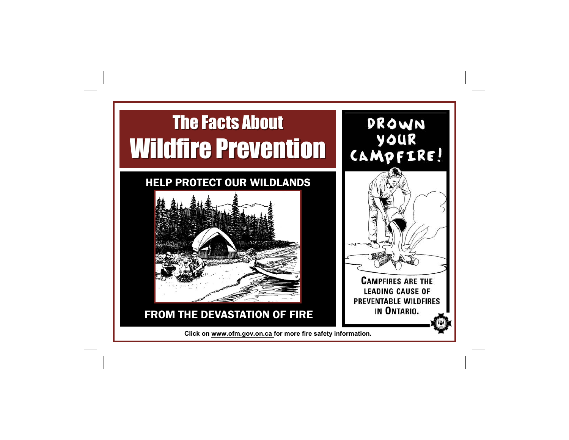